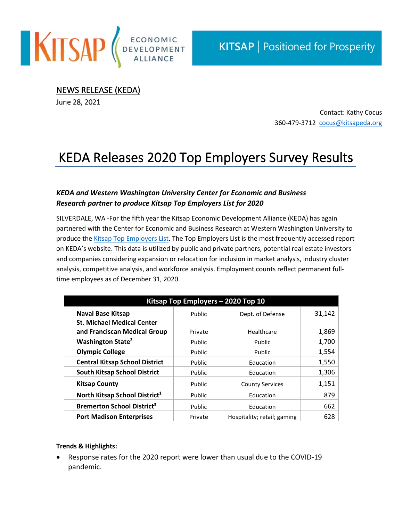

NEWS RELEASE (KEDA)

June 28, 2021

Contact: Kathy Cocus 360-479-3712 [cocus@kitsapeda.org](mailto:cocus@kitsapeda.org)

## KEDA Releases 2020 Top Employers Survey Results

## *KEDA and Western Washington University Center for Economic and Business Research partner to produce Kitsap Top Employers List for 2020*

SILVERDALE, WA -For the fifth year the Kitsap Economic Development Alliance (KEDA) has again partnered with the Center for Economic and Business Research at Western Washington University to produce th[e Kitsap Top Employers List.](http://kitsapeda.org/demographics/economy/top-employers/) The Top Employers List is the most frequently accessed report on KEDA's website. This data is utilized by public and private partners, potential real estate investors and companies considering expansion or relocation for inclusion in market analysis, industry cluster analysis, competitive analysis, and workforce analysis. Employment counts reflect permanent fulltime employees as of December 31, 2020.

| Kitsap Top Employers - 2020 Top 10           |               |                             |        |
|----------------------------------------------|---------------|-----------------------------|--------|
| <b>Naval Base Kitsap</b>                     | Public        | Dept. of Defense            | 31,142 |
| <b>St. Michael Medical Center</b>            |               |                             |        |
| and Franciscan Medical Group                 | Private       | Healthcare                  | 1,869  |
| Washington State <sup>2</sup>                | <b>Public</b> | Public                      | 1,700  |
| <b>Olympic College</b>                       | Public        | Public                      | 1,554  |
| <b>Central Kitsap School District</b>        | Public        | Education                   | 1,550  |
| <b>South Kitsap School District</b>          | Public        | Education                   | 1,306  |
| <b>Kitsap County</b>                         | Public        | <b>County Services</b>      | 1,151  |
| North Kitsap School District <sup>1</sup>    | Public        | Education                   | 879    |
| <b>Bremerton School District<sup>3</sup></b> | Public        | Education                   | 662    |
| <b>Port Madison Enterprises</b>              | Private       | Hospitality; retail; gaming | 628    |

## **Trends & Highlights:**

• Response rates for the 2020 report were lower than usual due to the COVID-19 pandemic.